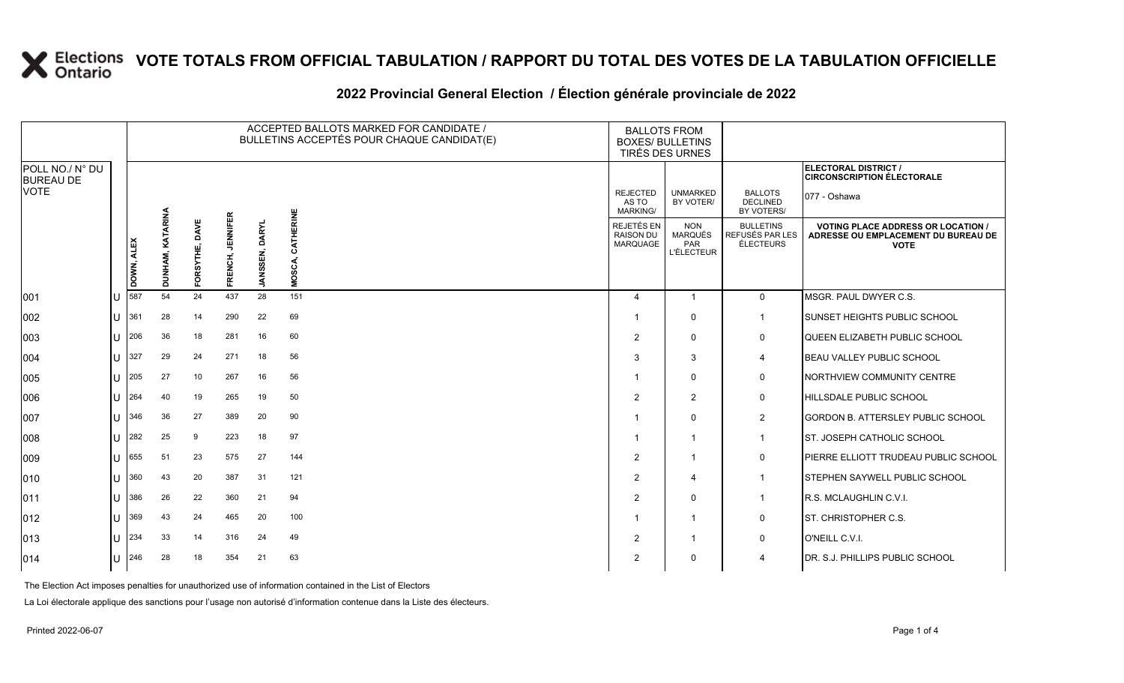#### **2022 Provincial General Election / Élection générale provinciale de 2022**

|                                     |   |                     |                            |                      |                            |                                 | ACCEPTED BALLOTS MARKED FOR CANDIDATE /<br>BULLETINS ACCEPTÉS POUR CHAQUE CANDIDAT(E) | <b>BALLOTS FROM</b><br><b>BOXES/ BULLETINS</b><br>TIRÉS DES URNES |                                                          |                                                  |                                                                                                 |
|-------------------------------------|---|---------------------|----------------------------|----------------------|----------------------------|---------------------------------|---------------------------------------------------------------------------------------|-------------------------------------------------------------------|----------------------------------------------------------|--------------------------------------------------|-------------------------------------------------------------------------------------------------|
| POLL NO./ N° DU<br><b>BUREAU DE</b> |   |                     |                            |                      |                            |                                 |                                                                                       |                                                                   |                                                          |                                                  | ELECTORAL DISTRICT /<br><b>CIRCONSCRIPTION ÉLECTORALE</b>                                       |
| <b>VOTE</b>                         |   |                     |                            |                      |                            |                                 |                                                                                       | <b>REJECTED</b><br>AS TO<br><b>MARKING/</b>                       | <b>UNMARKED</b><br>BY VOTER/                             | <b>BALLOTS</b><br><b>DECLINED</b><br>BY VOTERS/  | 077 - Oshawa                                                                                    |
|                                     |   | DOWN, ALEX          | <b>KATARINA</b><br>DUNHAM, | DAVE<br>RSYTHE,<br>훈 | <b>JENNIFER</b><br>FRENCH, | <b>DARYL</b><br><b>JANSSEN,</b> | CATHERINE<br>MOSCA,                                                                   | REJETÉS EN<br><b>RAISON DU</b><br>MARQUAGE                        | <b>NON</b><br><b>MARQUÉS</b><br>PAR<br><b>L'ÉLECTEUR</b> | <b>BULLETINS</b><br>REFUSÉS PAR LES<br>ÉLECTEURS | <b>VOTING PLACE ADDRESS OR LOCATION /</b><br>ADRESSE OU EMPLACEMENT DU BUREAU DE<br><b>VOTE</b> |
| 001                                 |   | 587                 | 54                         | 24                   | 437                        | 28                              | 151                                                                                   | $\boldsymbol{\Delta}$                                             | $\mathbf{1}$                                             | $\Omega$                                         | MSGR. PAUL DWYER C.S.                                                                           |
| 002                                 | U | 361                 | 28                         | 14                   | 290                        | 22                              | 69                                                                                    | -1                                                                | $\mathbf{0}$                                             | $\mathbf 1$                                      | SUNSET HEIGHTS PUBLIC SCHOOL                                                                    |
| 003                                 |   | 206                 | 36                         | 18                   | 281                        | 16                              | 60                                                                                    | 2                                                                 | $\Omega$                                                 | $\mathbf 0$                                      | QUEEN ELIZABETH PUBLIC SCHOOL                                                                   |
| 004                                 | U | 327                 | 29                         | 24                   | 271                        | 18                              | 56                                                                                    | 3                                                                 | 3                                                        | 4                                                | <b>BEAU VALLEY PUBLIC SCHOOL</b>                                                                |
| 005                                 | U | 205                 | 27                         | 10                   | 267                        | 16                              | 56                                                                                    | -1                                                                | $\mathbf{0}$                                             | 0                                                | <b>NORTHVIEW COMMUNITY CENTRE</b>                                                               |
| 006                                 |   | 264                 | 40                         | 19                   | 265                        | 19                              | 50                                                                                    | $\overline{2}$                                                    | 2                                                        | 0                                                | <b>HILLSDALE PUBLIC SCHOOL</b>                                                                  |
| 007                                 | U | 346                 | 36                         | 27                   | 389                        | 20                              | 90                                                                                    |                                                                   | $\Omega$                                                 | $\overline{2}$                                   | <b>GORDON B. ATTERSLEY PUBLIC SCHOOL</b>                                                        |
| 008                                 |   | 282                 | 25                         | 9                    | 223                        | 18                              | 97                                                                                    | -1                                                                | -1                                                       | $\overline{1}$                                   | ST. JOSEPH CATHOLIC SCHOOL                                                                      |
| 009                                 |   | 655                 | 51                         | 23                   | 575                        | 27                              | 144                                                                                   | $\overline{2}$                                                    | $\overline{1}$                                           | $\mathsf{O}$                                     | PIERRE ELLIOTT TRUDEAU PUBLIC SCHOOL                                                            |
| 010                                 |   | 360                 | 43                         | 20                   | 387                        | 31                              | 121                                                                                   | $\overline{2}$                                                    | $\boldsymbol{\Delta}$                                    | $\blacktriangleleft$                             | <b>STEPHEN SAYWELL PUBLIC SCHOOL</b>                                                            |
| 011                                 | U | 386                 | 26                         | 22                   | 360                        | 21                              | 94                                                                                    | 2                                                                 | $\mathbf{0}$                                             | $\mathbf{1}$                                     | <b>R.S. MCLAUGHLIN C.V.I.</b>                                                                   |
| 012                                 |   | 369                 | 43                         | 24                   | 465                        | 20                              | 100                                                                                   | -1                                                                | $\overline{1}$                                           | 0                                                | ST. CHRISTOPHER C.S.                                                                            |
| 013                                 |   | 234                 | 33                         | 14                   | 316                        | 24                              | 49                                                                                    | $\overline{2}$                                                    | $\overline{1}$                                           | $\mathbf 0$                                      | O'NEILL C.V.I.                                                                                  |
| 014                                 |   | $11 \overline{246}$ | 28                         | 18                   | 354                        | 21                              | 63                                                                                    | 2                                                                 | $\mathbf{0}$                                             | $\overline{\mathcal{A}}$                         | DR. S.J. PHILLIPS PUBLIC SCHOOL                                                                 |

The Election Act imposes penalties for unauthorized use of information contained in the List of Electors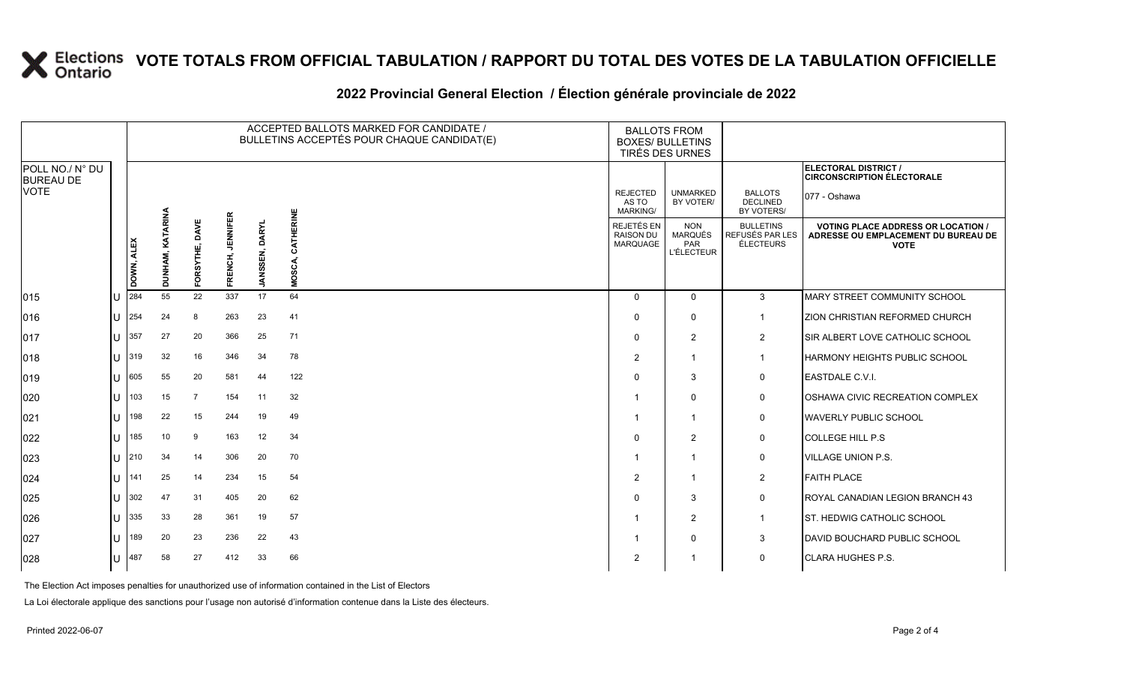#### **2022 Provincial General Election / Élection générale provinciale de 2022**

|                                     |   |            |                  |                   |                            |                                 | ACCEPTED BALLOTS MARKED FOR CANDIDATE /<br>BULLETINS ACCEPTÉS POUR CHAQUE CANDIDAT(E) | <b>BALLOTS FROM</b><br><b>BOXES/ BULLETINS</b><br>TIRÉS DES URNES |                                                          |                                                  |                                                                                                 |
|-------------------------------------|---|------------|------------------|-------------------|----------------------------|---------------------------------|---------------------------------------------------------------------------------------|-------------------------------------------------------------------|----------------------------------------------------------|--------------------------------------------------|-------------------------------------------------------------------------------------------------|
| POLL NO./ N° DU<br><b>BUREAU DE</b> |   |            |                  |                   |                            |                                 |                                                                                       |                                                                   |                                                          |                                                  | ELECTORAL DISTRICT /<br><b>CIRCONSCRIPTION ÉLECTORALE</b>                                       |
| <b>VOTE</b>                         |   |            |                  |                   |                            |                                 |                                                                                       | <b>REJECTED</b><br>AS TO<br><b>MARKING/</b>                       | <b>UNMARKED</b><br>BY VOTER/                             | <b>BALLOTS</b><br><b>DECLINED</b><br>BY VOTERS/  | 077 - Oshawa                                                                                    |
|                                     |   | DOWN, ALEX | DUNHAM, KATARINA | DAVE<br>FORSYTHE, | <b>JENNIFER</b><br>FRENCH, | <b>DARYL</b><br><b>JANSSEN,</b> | CATHERINE<br>MOSCA,                                                                   | <b>REJETÉS EN</b><br><b>RAISON DU</b><br>MARQUAGE                 | <b>NON</b><br><b>MARQUÉS</b><br>PAR<br><b>L'ÉLECTEUR</b> | <b>BULLETINS</b><br>REFUSÉS PAR LES<br>ÉLECTEURS | <b>VOTING PLACE ADDRESS OR LOCATION /</b><br>ADRESSE OU EMPLACEMENT DU BUREAU DE<br><b>VOTE</b> |
| 015                                 |   | 284        | 55               | 22                | 337                        | 17                              | 64                                                                                    | $\Omega$                                                          | $\mathbf 0$                                              | $\mathbf{3}$                                     | MARY STREET COMMUNITY SCHOOL                                                                    |
| 016                                 | U | 254        | 24               | 8                 | 263                        | 23                              | 41                                                                                    | <sup>0</sup>                                                      | $\Omega$                                                 | $\overline{1}$                                   | ZION CHRISTIAN REFORMED CHURCH                                                                  |
| 017                                 | U | 357        | 27               | 20                | 366                        | 25                              | 71                                                                                    | $\Omega$                                                          | $\overline{2}$                                           | $\overline{2}$                                   | SIR ALBERT LOVE CATHOLIC SCHOOL                                                                 |
| 018                                 | U | 319        | 32               | 16                | 346                        | 34                              | 78                                                                                    | $\overline{2}$                                                    | -1                                                       | $\overline{1}$                                   | HARMONY HEIGHTS PUBLIC SCHOOL                                                                   |
| 019                                 | U | 605        | 55               | 20                | 581                        | 44                              | 122                                                                                   | <sup>0</sup>                                                      | 3                                                        | $\mathbf 0$                                      | EASTDALE C.V.I.                                                                                 |
| 020                                 | U | 103        | 15               | 7                 | 154                        | 11                              | 32                                                                                    |                                                                   | $\mathbf 0$                                              | 0                                                | OSHAWA CIVIC RECREATION COMPLEX                                                                 |
| 021                                 | U | 198        | 22               | 15                | 244                        | 19                              | 49                                                                                    |                                                                   | -1                                                       | $\mathbf 0$                                      | <b>WAVERLY PUBLIC SCHOOL</b>                                                                    |
| 022                                 | U | 185        | 10               | 9                 | 163                        | 12                              | 34                                                                                    |                                                                   | 2                                                        | $\mathsf{O}$                                     | <b>COLLEGE HILL P.S</b>                                                                         |
| 023                                 | U | 210        | 34               | 14                | 306                        | 20                              | 70                                                                                    |                                                                   | $\overline{\mathbf{1}}$                                  | 0                                                | <b>VILLAGE UNION P.S.</b>                                                                       |
| 024                                 | U | 141        | 25               | 14                | 234                        | 15                              | 54                                                                                    | 2                                                                 | -1                                                       | $\overline{2}$                                   | <b>FAITH PLACE</b>                                                                              |
| 025                                 | U | 302        | 47               | 31                | 405                        | 20                              | 62                                                                                    |                                                                   | 3                                                        | $\mathsf{O}$                                     | ROYAL CANADIAN LEGION BRANCH 43                                                                 |
| 026                                 | U | 335        | 33               | 28                | 361                        | 19                              | 57                                                                                    |                                                                   | $\overline{2}$                                           | $\mathbf{1}$                                     | <b>ST. HEDWIG CATHOLIC SCHOOL</b>                                                               |
| 027                                 | U | 189        | 20               | 23                | 236                        | 22                              | 43                                                                                    |                                                                   | $\Omega$                                                 | 3                                                | DAVID BOUCHARD PUBLIC SCHOOL                                                                    |
| 028                                 | U | 487        | 58               | 27                | 412                        | 33                              | 66                                                                                    | 2                                                                 |                                                          | $\mathbf 0$                                      | <b>CLARA HUGHES P.S.</b>                                                                        |

The Election Act imposes penalties for unauthorized use of information contained in the List of Electors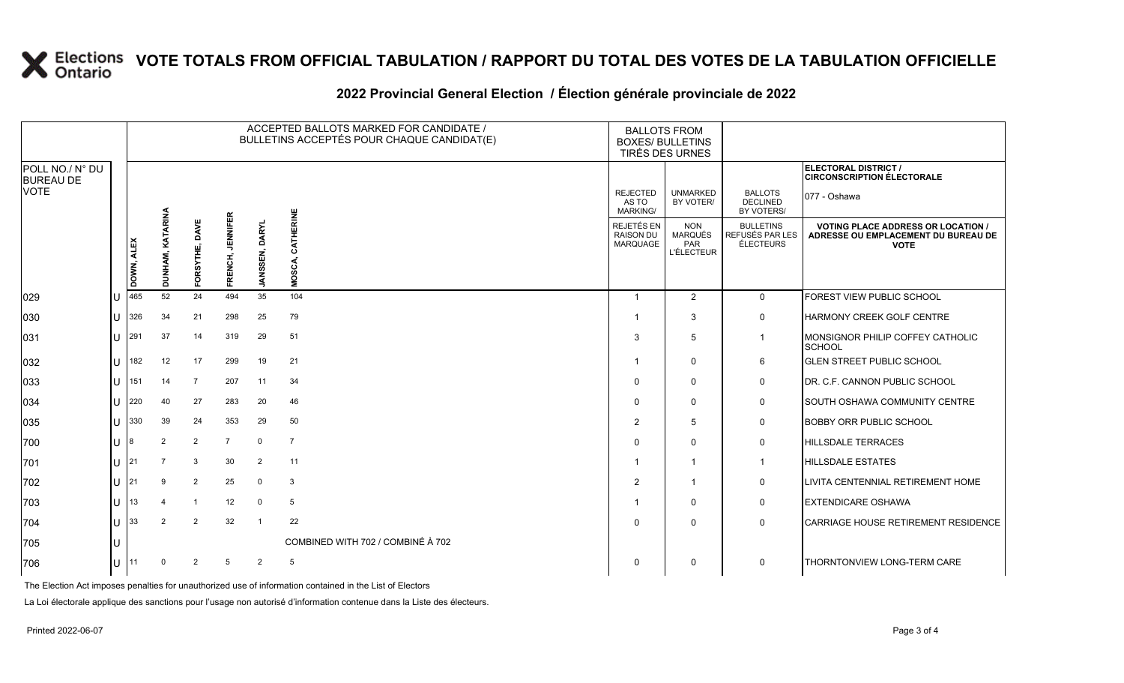#### **2022 Provincial General Election / Élection générale provinciale de 2022**

|                                     |              |            |                     |                  |                            | ACCEPTED BALLOTS MARKED FOR CANDIDATE /<br>BULLETINS ACCEPTÉS POUR CHAQUE CANDIDAT(E) |                                   |                                                   | <b>BALLOTS FROM</b><br><b>BOXES/ BULLETINS</b><br><b>TIRÉS DES URNES</b> |                                                  |                                                                                                 |
|-------------------------------------|--------------|------------|---------------------|------------------|----------------------------|---------------------------------------------------------------------------------------|-----------------------------------|---------------------------------------------------|--------------------------------------------------------------------------|--------------------------------------------------|-------------------------------------------------------------------------------------------------|
| POLL NO./ N° DU<br><b>BUREAU DE</b> |              |            |                     |                  |                            |                                                                                       |                                   |                                                   |                                                                          |                                                  | ELECTORAL DISTRICT /<br><b>CIRCONSCRIPTION ÉLECTORALE</b>                                       |
| VOTE                                |              |            |                     |                  |                            |                                                                                       |                                   | <b>REJECTED</b><br>AS TO<br>MARKING/              | <b>UNMARKED</b><br>BY VOTER/                                             | <b>BALLOTS</b><br><b>DECLINED</b><br>BY VOTERS/  | 077 - Oshawa                                                                                    |
|                                     |              | DOWN, ALEX | KATARINA<br>DUNHAM, | RSYTHE, DAV<br>힡 | <b>JENNIFER</b><br>FRENCH, | <b>DARYL</b><br>ISSEN,<br>ξ                                                           | CATHERINE<br>MOSCA,               | REJETÉS EN<br><b>RAISON DU</b><br><b>MARQUAGE</b> | <b>NON</b><br><b>MARQUÉS</b><br><b>PAR</b><br><b>L'ÉLECTEUR</b>          | <b>BULLETINS</b><br>REFUSÉS PAR LES<br>ÉLECTEURS | <b>VOTING PLACE ADDRESS OR LOCATION /</b><br>ADRESSE OU EMPLACEMENT DU BUREAU DE<br><b>VOTE</b> |
| 029                                 |              | 465        | 52                  | 24               | 494                        | 35                                                                                    | 104                               | $\overline{1}$                                    | $\overline{2}$                                                           | $\mathbf 0$                                      | FOREST VIEW PUBLIC SCHOOL                                                                       |
| 030                                 | U            | 326        | 34                  | 21               | 298                        | 25                                                                                    | 79                                | $\overline{\mathbf{1}}$                           | 3                                                                        | $\mathbf 0$                                      | HARMONY CREEK GOLF CENTRE                                                                       |
| 031                                 | U            | 291        | 37                  | 14               | 319                        | 29                                                                                    | 51                                | 3                                                 | 5                                                                        | $\mathbf{1}$                                     | MONSIGNOR PHILIP COFFEY CATHOLIC<br><b>SCHOOL</b>                                               |
| 032                                 | $\mathbf{H}$ | 182        | 12                  | 17               | 299                        | 19                                                                                    | 21                                | -1                                                | $\Omega$                                                                 | 6                                                | <b>GLEN STREET PUBLIC SCHOOL</b>                                                                |
| 033                                 | $\mathbf{U}$ | 151        | 14                  | $\overline{7}$   | 207                        | 11                                                                                    | 34                                | $\Omega$                                          | $\Omega$                                                                 | 0                                                | DR. C.F. CANNON PUBLIC SCHOOL                                                                   |
| 034                                 | $\mathbf{U}$ | 220        | 40                  | 27               | 283                        | 20                                                                                    | 46                                | $\Omega$                                          | $\Omega$                                                                 | $\mathbf 0$                                      | <b>SOUTH OSHAWA COMMUNITY CENTRE</b>                                                            |
| 035                                 | U            | 330        | 39                  | 24               | 353                        | 29                                                                                    | 50                                | $\overline{2}$                                    | 5                                                                        | $\mathbf 0$                                      | <b>BOBBY ORR PUBLIC SCHOOL</b>                                                                  |
| 700                                 | $\mathbf{U}$ | 18         | $\overline{2}$      | 2                | $\overline{7}$             | $\mathbf 0$                                                                           | $\overline{7}$                    | $\Omega$                                          | $\Omega$                                                                 | $\mathbf 0$                                      | <b>HILLSDALE TERRACES</b>                                                                       |
| 701                                 | $\mathbf{H}$ | I21        |                     | 3                | 30                         | $\overline{2}$                                                                        | 11                                | $\overline{\mathbf{1}}$                           | $\overline{1}$                                                           | $\overline{1}$                                   | <b>HILLSDALE ESTATES</b>                                                                        |
| 702                                 | U            | I21        | 9                   | $\overline{2}$   | 25                         | $\mathbf 0$                                                                           | 3                                 | $\overline{2}$                                    | 1                                                                        | 0                                                | LIVITA CENTENNIAL RETIREMENT HOME                                                               |
| 703                                 | U            | 13         |                     | $\overline{1}$   | 12                         | $\mathbf 0$                                                                           | $5\phantom{.0}$                   | $\overline{\mathbf{1}}$                           | $\Omega$                                                                 | 0                                                | <b>EXTENDICARE OSHAWA</b>                                                                       |
| 704                                 |              | 33         | $\overline{2}$      | $\overline{2}$   | 32                         | $\overline{1}$                                                                        | 22                                | $\Omega$                                          | $\Omega$                                                                 | $\mathbf 0$                                      | <b>CARRIAGE HOUSE RETIREMENT RESIDENCE</b>                                                      |
| 705                                 |              |            |                     |                  |                            |                                                                                       | COMBINED WITH 702 / COMBINÉ À 702 |                                                   |                                                                          |                                                  |                                                                                                 |
| 706                                 |              | 111        |                     | $\mathcal{P}$    | 5                          | 2                                                                                     | 5                                 | 0                                                 | 0                                                                        | $\mathbf 0$                                      | THORNTONVIEW LONG-TERM CARE                                                                     |

The Election Act imposes penalties for unauthorized use of information contained in the List of Electors